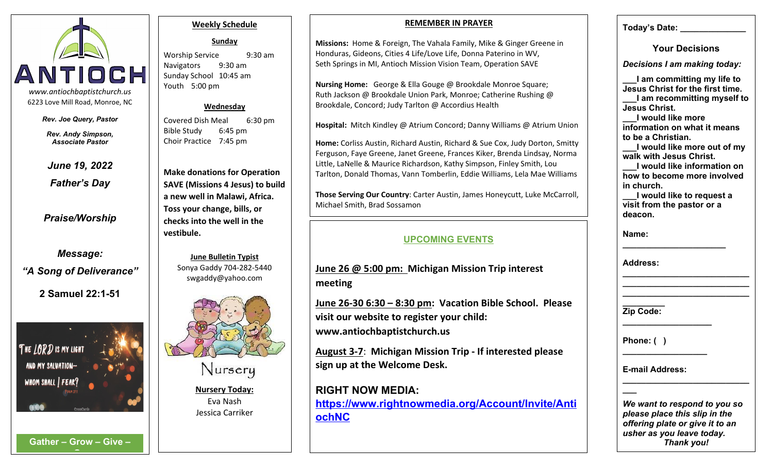

*Rev. Joe Query, Pastor*

*Rev. Andy Simpson, Associate Pastor*

*June 19, 2022*

*Father's Day*

*Praise/Worship*

*Message: "A Song of Deliverance"*

**2 Samuel 22:1-51**



**G**

#### **Weekly Schedule**

**Sunday**

Sunday School 10:45 am Youth 5:00 pm

#### **Wednesday**

Covered Dish Meal 6:30 pm Bible Study 6:45 pm Choir Practice 7:45 pm

**Make donations for Operation SAVE (Missions 4 Jesus) to build a new well in Malawi, Africa. Toss your change, bills, or checks into the well in the vestibule.**

> **June Bulletin Typist** Sonya Gaddy 704-282-5440 swgaddy@yahoo.com



Nursery

**Nursery Today:** Eva Nash Jessica Carriker

#### **REMEMBER IN PRAYER**

Worship Service 9:30 am Honduras, Gideons, Cities 4 Life/Love Life, Donna Paterino in WV, Navigators 9:30 am | | Seth Springs in MI, Antioch Mission Vision Team, Operation SAVE **Missions:** Home & Foreign, The Vahala Family, Mike & Ginger Greene in

> **Nursing Home:** George & Ella Gouge @ Brookdale Monroe Square; Ruth Jackson @ Brookdale Union Park, Monroe; Catherine Rushing @ Brookdale, Concord; Judy Tarlton @ Accordius Health

**Hospital:** Mitch Kindley @ Atrium Concord; Danny Williams @ Atrium Union

**Home:** Corliss Austin, Richard Austin, Richard & Sue Cox, Judy Dorton, Smitty Ferguson, Faye Greene, Janet Greene, Frances Kiker, Brenda Lindsay, Norma Little, LaNelle & Maurice Richardson, Kathy Simpson, Finley Smith, Lou Tarlton, Donald Thomas, Vann Tomberlin, Eddie Williams, Lela Mae Williams

**Those Serving Our Country**: Carter Austin, James Honeycutt, Luke McCarroll, Michael Smith, Brad Sossamon

### **UPCOMING EVENTS**

**June 26 @ 5:00 pm: Michigan Mission Trip interest meeting**

**June 26-30 6:30 – 8:30 pm: Vacation Bible School. Please visit our website to register your child: www.antiochbaptistchurch.us**

**August 3-7**: **Michigan Mission Trip - If interested please sign up at the Welcome Desk.**

# **RIGHT NOW MEDIA:**

**https://www.rightnowmedia.org/Account/Invite/Anti ochNC**

**Today's Date: \_\_\_\_\_\_\_\_\_\_\_\_\_\_**

**Your Decisions**

*Decisions I am making today:*

**\_\_\_I am committing my life to Jesus Christ for the first time. \_\_\_I am recommitting myself to Jesus Christ.**

**\_\_\_I would like more information on what it means to be a Christian.**

**\_\_\_I would like more out of my walk with Jesus Christ.**

**\_\_\_I would like information on how to become more involved in church.**

**\_\_\_I would like to request a visit from the pastor or a deacon.**

**\_\_\_\_\_\_\_\_\_\_\_\_\_\_\_\_\_\_\_\_\_\_\_\_\_\_\_ \_\_\_\_\_\_\_\_\_\_\_\_\_\_\_\_\_\_\_\_\_\_\_\_\_\_\_**

**Name: \_\_\_\_\_\_\_\_\_\_\_\_\_\_\_\_\_\_\_\_\_\_**

**Address: \_\_\_\_\_\_\_\_\_\_\_\_\_\_\_\_\_\_\_\_\_\_\_\_\_\_\_**

**\_\_\_\_\_\_\_\_\_ Zip Code: \_\_\_\_\_\_\_\_\_\_\_\_\_\_\_\_\_\_\_**

**Phone: ( )** 

**E-mail Address: \_\_\_\_\_\_\_\_\_\_\_\_\_\_\_\_\_\_\_\_\_\_\_\_\_\_\_**

*We want to respond to you so please place this slip in the offering plate or give it to an usher as you leave today.* **Gather – Grow – Give –** *Thank you!*

**\_\_\_**